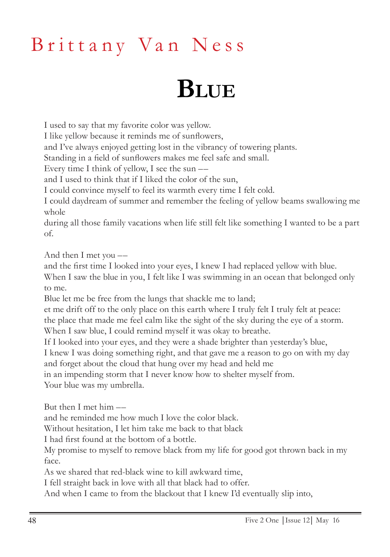## Brittany Van Ness

## **Blue**

I used to say that my favorite color was yellow.

I like yellow because it reminds me of sunflowers,

and I've always enjoyed getting lost in the vibrancy of towering plants.

Standing in a field of sunflowers makes me feel safe and small.

Every time I think of yellow, I see the sun ––

and I used to think that if I liked the color of the sun,

I could convince myself to feel its warmth every time I felt cold.

I could daydream of summer and remember the feeling of yellow beams swallowing me whole

during all those family vacations when life still felt like something I wanted to be a part of.

And then I met you ––

and the first time I looked into your eyes, I knew I had replaced yellow with blue. When I saw the blue in you, I felt like I was swimming in an ocean that belonged only to me.

Blue let me be free from the lungs that shackle me to land;

et me drift off to the only place on this earth where I truly felt I truly felt at peace: the place that made me feel calm like the sight of the sky during the eye of a storm. When I saw blue, I could remind myself it was okay to breathe.

If I looked into your eyes, and they were a shade brighter than yesterday's blue,

I knew I was doing something right, and that gave me a reason to go on with my day and forget about the cloud that hung over my head and held me

in an impending storm that I never know how to shelter myself from.

Your blue was my umbrella.

But then I met him ––

and he reminded me how much I love the color black.

Without hesitation, I let him take me back to that black

I had first found at the bottom of a bottle.

My promise to myself to remove black from my life for good got thrown back in my face.

As we shared that red-black wine to kill awkward time,

I fell straight back in love with all that black had to offer.

And when I came to from the blackout that I knew I'd eventually slip into,